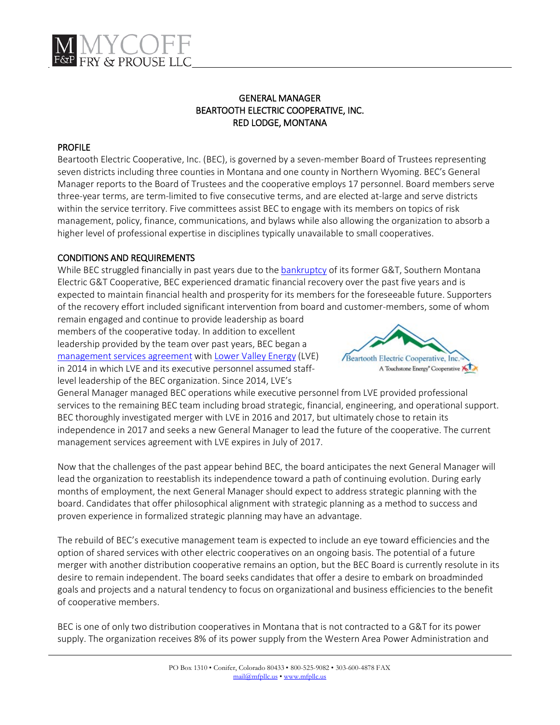# GENERAL MANAGER BEARTOOTH ELECTRIC COOPERATIVE, INC. RED LODGE, MONTANA

# PROFILE

Beartooth Electric Cooperative, Inc. (BEC), is governed by a seven-member Board of Trustees representing seven districts including three counties in Montana and one county in Northern Wyoming. BEC's General Manager reports to the Board of Trustees and the cooperative employs 17 personnel. Board members serve three-year terms, are term-limited to five consecutive terms, and are elected at-large and serve districts within the service territory. Five committees assist BEC to engage with its members on topics of risk management, policy, finance, communications, and bylaws while also allowing the organization to absorb a higher level of professional expertise in disciplines typically unavailable to small cooperatives.

# CONDITIONS AND REQUIREMENTS

While BEC struggled financially in past years due to th[e bankruptcy](http://beartoothec.coopwebbuilder2.com/content/southern-bankruptcy) of its former G&T, Southern Montana Electric G&T Cooperative, BEC experienced dramatic financial recovery over the past five years and is expected to maintain financial health and prosperity for its members for the foreseeable future. Supporters of the recovery effort included significant intervention from board and customer-members, some of whom

remain engaged and continue to provide leadership as board members of the cooperative today. In addition to excellent leadership provided by the team over past years, BEC began a [management services agreement](http://www.beartoothelectric.com/sites/beartoothec/files/Management%20Agreement.pdf) with [Lower Valley Energy](http://www.lvenergy.com/) (LVE) in 2014 in which LVE and its executive personnel assumed stafflevel leadership of the BEC organization. Since 2014, LVE's



General Manager managed BEC operations while executive personnel from LVE provided professional services to the remaining BEC team including broad strategic, financial, engineering, and operational support. BEC thoroughly investigated merger with LVE in 2016 and 2017, but ultimately chose to retain its independence in 2017 and seeks a new General Manager to lead the future of the cooperative. The current management services agreement with LVE expires in July of 2017.

Now that the challenges of the past appear behind BEC, the board anticipates the next General Manager will lead the organization to reestablish its independence toward a path of continuing evolution. During early months of employment, the next General Manager should expect to address strategic planning with the board. Candidates that offer philosophical alignment with strategic planning as a method to success and proven experience in formalized strategic planning may have an advantage.

The rebuild of BEC's executive management team is expected to include an eye toward efficiencies and the option of shared services with other electric cooperatives on an ongoing basis. The potential of a future merger with another distribution cooperative remains an option, but the BEC Board is currently resolute in its desire to remain independent. The board seeks candidates that offer a desire to embark on broadminded goals and projects and a natural tendency to focus on organizational and business efficiencies to the benefit of cooperative members.

BEC is one of only two distribution cooperatives in Montana that is not contracted to a G&T for its power supply. The organization receives 8% of its power supply from the Western Area Power Administration and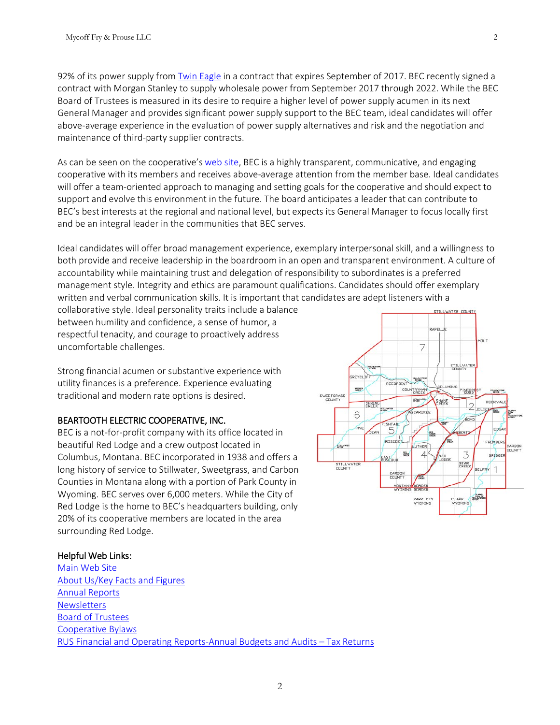92% of its power supply fro[m Twin Eagle](http://www.twineagle.com/) in a contract that expires September of 2017. BEC recently signed a contract with Morgan Stanley to supply wholesale power from September 2017 through 2022. While the BEC Board of Trustees is measured in its desire to require a higher level of power supply acumen in its next General Manager and provides significant power supply support to the BEC team, ideal candidates will offer above-average experience in the evaluation of power supply alternatives and risk and the negotiation and maintenance of third-party supplier contracts.

As can be seen on the cooperative's [web site,](http://www.beartoothelectric.com/) BEC is a highly transparent, communicative, and engaging cooperative with its members and receives above-average attention from the member base. Ideal candidates will offer a team-oriented approach to managing and setting goals for the cooperative and should expect to support and evolve this environment in the future. The board anticipates a leader that can contribute to BEC's best interests at the regional and national level, but expects its General Manager to focus locally first and be an integral leader in the communities that BEC serves.

Ideal candidates will offer broad management experience, exemplary interpersonal skill, and a willingness to both provide and receive leadership in the boardroom in an open and transparent environment. A culture of accountability while maintaining trust and delegation of responsibility to subordinates is a preferred management style. Integrity and ethics are paramount qualifications. Candidates should offer exemplary written and verbal communication skills. It is important that candidates are adept listeners with a

collaborative style. Ideal personality traits include a balance between humility and confidence, a sense of humor, a respectful tenacity, and courage to proactively address uncomfortable challenges.

Strong financial acumen or substantive experience with utility finances is a preference. Experience evaluating traditional and modern rate options is desired.

## BEARTOOTH ELECTRIC COOPERATIVE, INC.

BEC is a not-for-profit company with its office located in beautiful Red Lodge and a crew outpost located in Columbus, Montana. BEC incorporated in 1938 and offers a long history of service to Stillwater, Sweetgrass, and Carbon Counties in Montana along with a portion of Park County in Wyoming. BEC serves over 6,000 meters. While the City of Red Lodge is the home to BEC's headquarters building, only 20% of its cooperative members are located in the area surrounding Red Lodge.

#### **HOLT** 7 STILL WATER 2010 REET **JMBUS** COUNTRYMAN INEGRE SWEETGRASS STRAWING ROCKVAL HANE 2 JOLTEN **STREWATE BSARDKEE** 6 ADYD **ISHTAIL** NYE 5 EDG BERT 湿 ensch Ellin UTHER CARBON<br>COUNTY 3 **Sks**  $\overline{4}$ BRIDGE **EAST BEAR** STILL WATE BELFRY 1 CARBON<br>CDUNTY **BARS** PARK CTY<br>WYDMING

#### Helpful Web Links:

[Main Web Site](http://www.beartoothelectric.com/) [About Us/Key Facts and Figures](http://www.beartoothelectric.com/content/about)  [Annual Reports](http://www.beartoothelectric.com/content/annual-reports)  **Newsletters** [Board of Trustees](http://www.beartoothelectric.com/content/board-trustees)  [Cooperative Bylaws](http://beartoothec.coopwebbuilder2.com/content/bec-bylaws)  [RUS Financial and Operating Reports-Annual Budgets and Audits –](http://www.beartoothelectric.com/content/cooperative-financials) Tax Returns